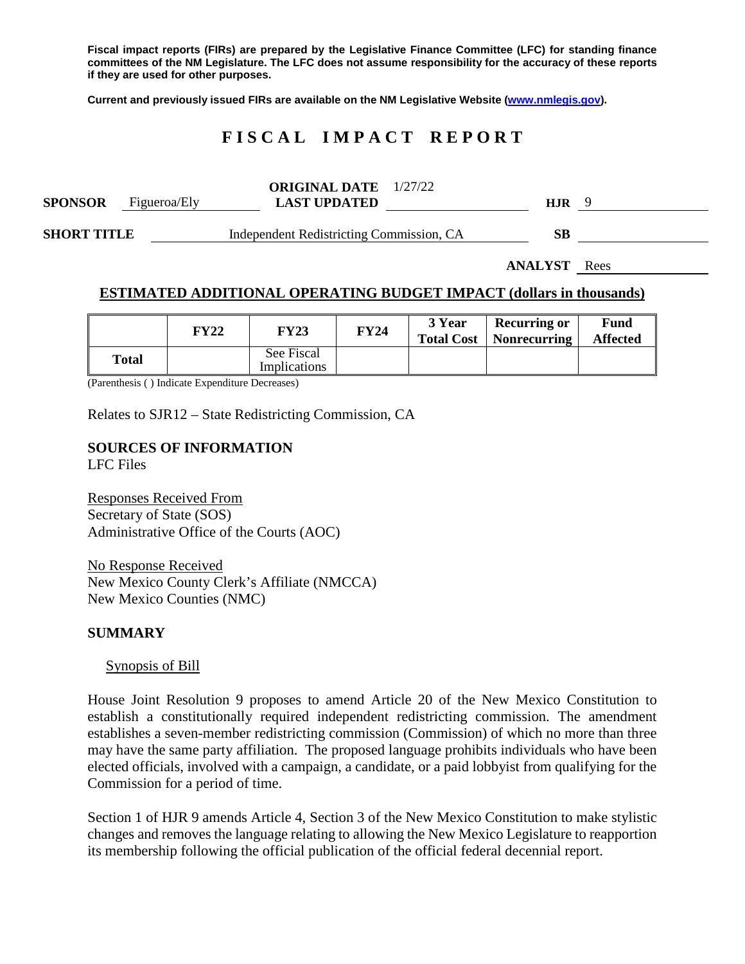**Fiscal impact reports (FIRs) are prepared by the Legislative Finance Committee (LFC) for standing finance committees of the NM Legislature. The LFC does not assume responsibility for the accuracy of these reports if they are used for other purposes.**

**Current and previously issued FIRs are available on the NM Legislative Website [\(www.nmlegis.gov\)](http://www.nmlegis.gov/).**

# **F I S C A L I M P A C T R E P O R T**

| <b>SPONSOR</b>     | Figueroa/Ely | <b>ORIGINAL DATE</b> 1/27/22<br><b>LAST UPDATED</b> |  | <b>HJR</b> |  |
|--------------------|--------------|-----------------------------------------------------|--|------------|--|
| <b>SHORT TITLE</b> |              | Independent Redistricting Commission, CA            |  | SB         |  |

**ANALYST** Rees

#### **ESTIMATED ADDITIONAL OPERATING BUDGET IMPACT (dollars in thousands)**

|       | <b>FY22</b> | <b>FY23</b>                | <b>FY24</b> | 3 Year | <b>Recurring or</b><br><b>Total Cost</b>   Nonrecurring | Fund<br><b>Affected</b> |
|-------|-------------|----------------------------|-------------|--------|---------------------------------------------------------|-------------------------|
| Total |             | See Fiscal<br>Implications |             |        |                                                         |                         |

(Parenthesis ( ) Indicate Expenditure Decreases)

Relates to SJR12 – State Redistricting Commission, CA

# **SOURCES OF INFORMATION**

LFC Files

Responses Received From Secretary of State (SOS) Administrative Office of the Courts (AOC)

No Response Received New Mexico County Clerk's Affiliate (NMCCA) New Mexico Counties (NMC)

#### **SUMMARY**

#### Synopsis of Bill

House Joint Resolution 9 proposes to amend Article 20 of the New Mexico Constitution to establish a constitutionally required independent redistricting commission. The amendment establishes a seven-member redistricting commission (Commission) of which no more than three may have the same party affiliation. The proposed language prohibits individuals who have been elected officials, involved with a campaign, a candidate, or a paid lobbyist from qualifying for the Commission for a period of time.

Section 1 of HJR 9 amends Article 4, Section 3 of the New Mexico Constitution to make stylistic changes and removes the language relating to allowing the New Mexico Legislature to reapportion its membership following the official publication of the official federal decennial report.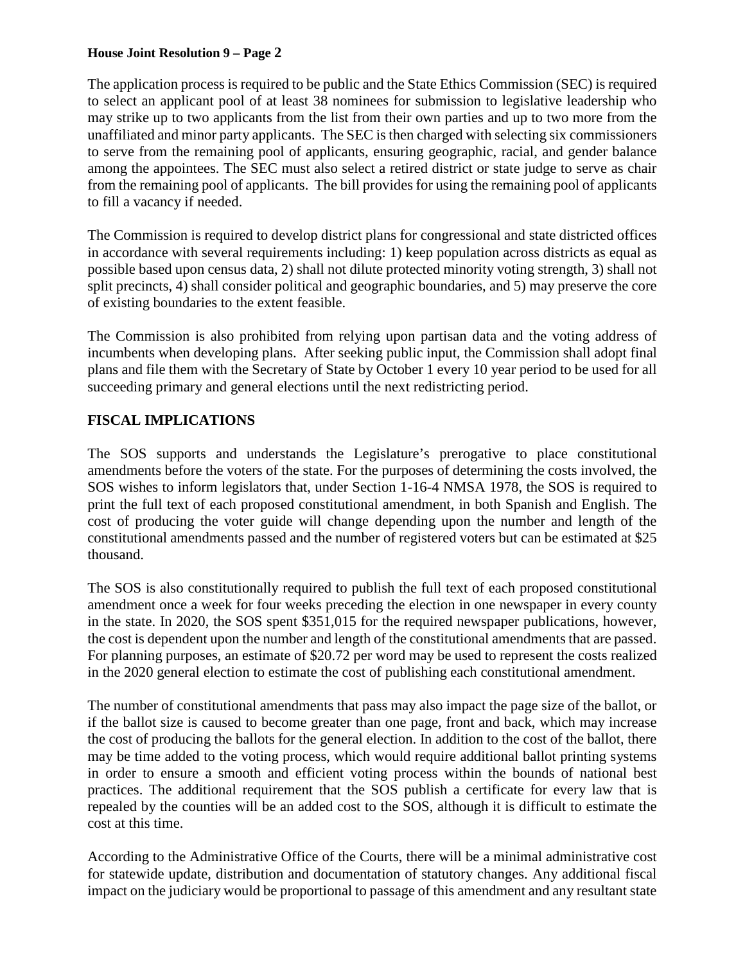#### **House Joint Resolution 9 – Page 2**

The application process is required to be public and the State Ethics Commission (SEC) is required to select an applicant pool of at least 38 nominees for submission to legislative leadership who may strike up to two applicants from the list from their own parties and up to two more from the unaffiliated and minor party applicants. The SEC is then charged with selecting six commissioners to serve from the remaining pool of applicants, ensuring geographic, racial, and gender balance among the appointees. The SEC must also select a retired district or state judge to serve as chair from the remaining pool of applicants. The bill provides for using the remaining pool of applicants to fill a vacancy if needed.

The Commission is required to develop district plans for congressional and state districted offices in accordance with several requirements including: 1) keep population across districts as equal as possible based upon census data, 2) shall not dilute protected minority voting strength, 3) shall not split precincts, 4) shall consider political and geographic boundaries, and 5) may preserve the core of existing boundaries to the extent feasible.

The Commission is also prohibited from relying upon partisan data and the voting address of incumbents when developing plans. After seeking public input, the Commission shall adopt final plans and file them with the Secretary of State by October 1 every 10 year period to be used for all succeeding primary and general elections until the next redistricting period.

# **FISCAL IMPLICATIONS**

The SOS supports and understands the Legislature's prerogative to place constitutional amendments before the voters of the state. For the purposes of determining the costs involved, the SOS wishes to inform legislators that, under Section 1-16-4 NMSA 1978, the SOS is required to print the full text of each proposed constitutional amendment, in both Spanish and English. The cost of producing the voter guide will change depending upon the number and length of the constitutional amendments passed and the number of registered voters but can be estimated at \$25 thousand.

The SOS is also constitutionally required to publish the full text of each proposed constitutional amendment once a week for four weeks preceding the election in one newspaper in every county in the state. In 2020, the SOS spent \$351,015 for the required newspaper publications, however, the cost is dependent upon the number and length of the constitutional amendments that are passed. For planning purposes, an estimate of \$20.72 per word may be used to represent the costs realized in the 2020 general election to estimate the cost of publishing each constitutional amendment.

The number of constitutional amendments that pass may also impact the page size of the ballot, or if the ballot size is caused to become greater than one page, front and back, which may increase the cost of producing the ballots for the general election. In addition to the cost of the ballot, there may be time added to the voting process, which would require additional ballot printing systems in order to ensure a smooth and efficient voting process within the bounds of national best practices. The additional requirement that the SOS publish a certificate for every law that is repealed by the counties will be an added cost to the SOS, although it is difficult to estimate the cost at this time.

According to the Administrative Office of the Courts, there will be a minimal administrative cost for statewide update, distribution and documentation of statutory changes. Any additional fiscal impact on the judiciary would be proportional to passage of this amendment and any resultant state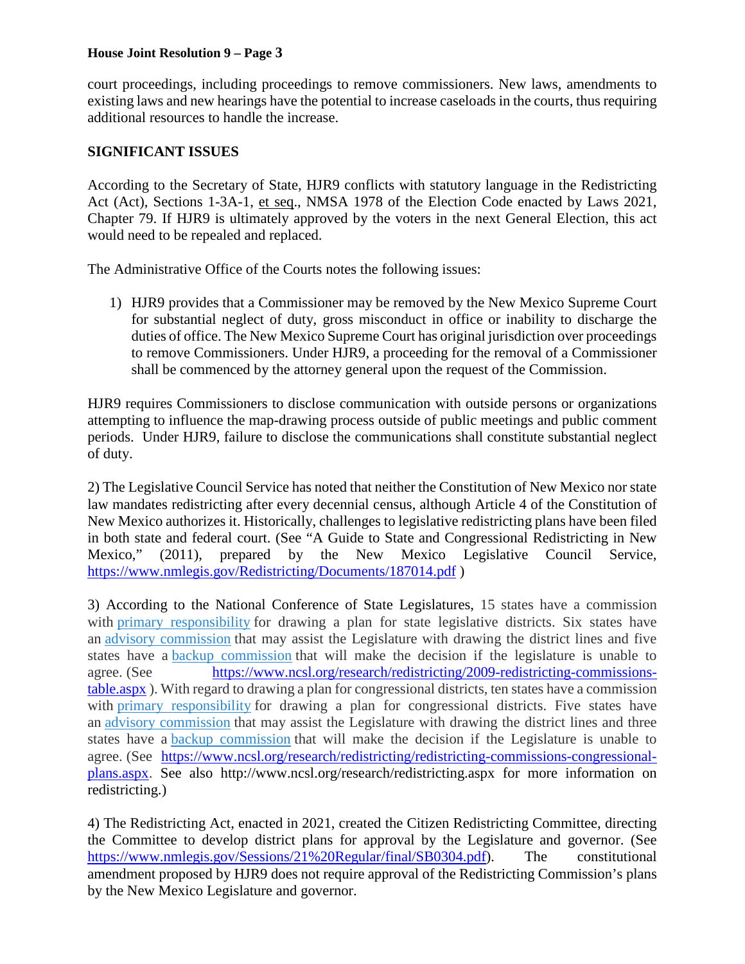#### **House Joint Resolution 9 – Page 3**

court proceedings, including proceedings to remove commissioners. New laws, amendments to existing laws and new hearings have the potential to increase caseloads in the courts, thus requiring additional resources to handle the increase.

#### **SIGNIFICANT ISSUES**

According to the Secretary of State, HJR9 conflicts with statutory language in the Redistricting Act (Act), Sections 1-3A-1, et seq., NMSA 1978 of the Election Code enacted by Laws 2021, Chapter 79. If HJR9 is ultimately approved by the voters in the next General Election, this act would need to be repealed and replaced.

The Administrative Office of the Courts notes the following issues:

1) HJR9 provides that a Commissioner may be removed by the New Mexico Supreme Court for substantial neglect of duty, gross misconduct in office or inability to discharge the duties of office. The New Mexico Supreme Court has original jurisdiction over proceedings to remove Commissioners. Under HJR9, a proceeding for the removal of a Commissioner shall be commenced by the attorney general upon the request of the Commission.

HJR9 requires Commissioners to disclose communication with outside persons or organizations attempting to influence the map-drawing process outside of public meetings and public comment periods. Under HJR9, failure to disclose the communications shall constitute substantial neglect of duty.

2) The Legislative Council Service has noted that neither the Constitution of New Mexico nor state law mandates redistricting after every decennial census, although Article 4 of the Constitution of New Mexico authorizes it. Historically, challenges to legislative redistricting plans have been filed in both state and federal court. (See "A Guide to State and Congressional Redistricting in New Mexico," (2011), prepared by the New Mexico Legislative Council Service, <https://www.nmlegis.gov/Redistricting/Documents/187014.pdf> )

3) According to the National Conference of State Legislatures, 15 states have a commission with primary [responsibility](https://www.ncsl.org/research/redistricting/2009-redistricting-commissions-table.aspx#Commissions%20with%20Primary%20Responsibility) for drawing a plan for state legislative districts. Six states have an advisory [commission](https://www.ncsl.org/research/redistricting/2009-redistricting-commissions-table.aspx#Advisory) that may assist the Legislature with drawing the district lines and five states have a backup [commission](https://www.ncsl.org/research/redistricting/2009-redistricting-commissions-table.aspx#Backup) that will make the decision if the legislature is unable to agree. (See [https://www.ncsl.org/research/redistricting/2009-redistricting-commissions](https://www.ncsl.org/research/redistricting/2009-redistricting-commissions-table.aspx)[table.aspx](https://www.ncsl.org/research/redistricting/2009-redistricting-commissions-table.aspx) ). With regard to drawing a plan for congressional districts, ten states have a commission with primary [responsibility](https://www.ncsl.org/research/redistricting/redistricting-commissions-congressional-plans.aspx#Primary) for drawing a plan for congressional districts. Five states have an advisory [commission](https://www.ncsl.org/research/redistricting/redistricting-commissions-congressional-plans.aspx#Advisory) that may assist the Legislature with drawing the district lines and three states have a backup [commission](https://www.ncsl.org/research/redistricting/redistricting-commissions-congressional-plans.aspx#Backup) that will make the decision if the Legislature is unable to agree. (See [https://www.ncsl.org/research/redistricting/redistricting-commissions-congressional](https://www.ncsl.org/research/redistricting/redistricting-commissions-congressional-plans.aspx)[plans.aspx.](https://www.ncsl.org/research/redistricting/redistricting-commissions-congressional-plans.aspx) See also http://www.ncsl.org/research/redistricting.aspx for more information on redistricting.)

4) The Redistricting Act, enacted in 2021, created the Citizen Redistricting Committee, directing the Committee to develop district plans for approval by the Legislature and governor. (See [https://www.nmlegis.gov/Sessions/21%20Regular/final/SB0304.pdf\)](https://www.nmlegis.gov/Sessions/21%20Regular/final/SB0304.pdf). The constitutional amendment proposed by HJR9 does not require approval of the Redistricting Commission's plans by the New Mexico Legislature and governor.